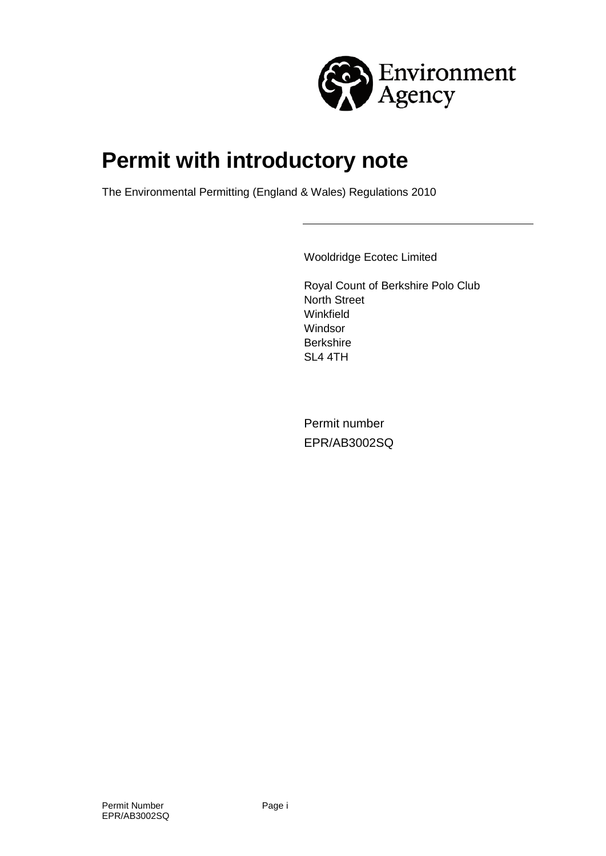

# **Permit with introductory note**

The Environmental Permitting (England & Wales) Regulations 2010

Wooldridge Ecotec Limited

Royal Count of Berkshire Polo Club North Street Winkfield **Windsor Berkshire** SL4 4TH

Permit number EPR/AB3002SQ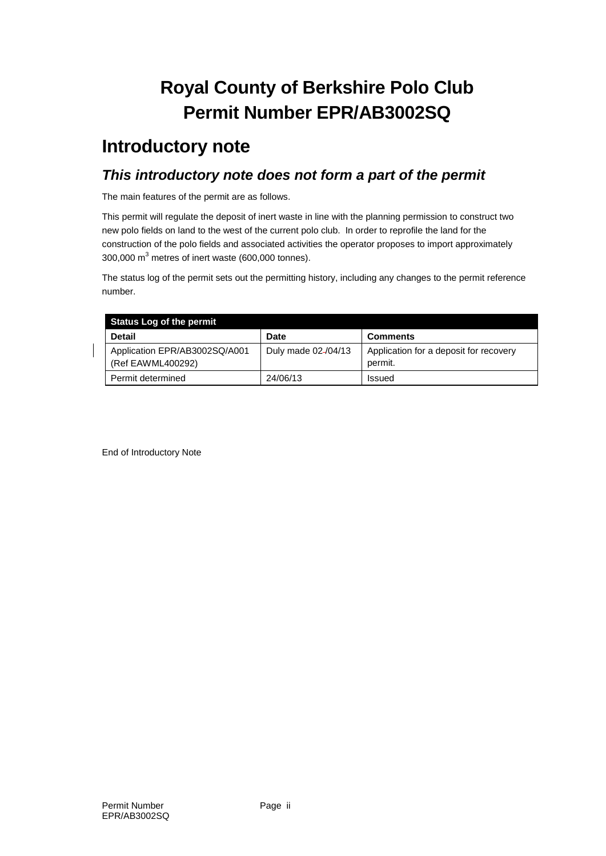## **Royal County of Berkshire Polo Club Permit Number EPR/AB3002SQ**

### **Introductory note**

#### *This introductory note does not form a part of the permit*

The main features of the permit are as follows.

This permit will regulate the deposit of inert waste in line with the planning permission to construct two new polo fields on land to the west of the current polo club. In order to reprofile the land for the construction of the polo fields and associated activities the operator proposes to import approximately 300,000  $m<sup>3</sup>$  metres of inert waste (600,000 tonnes).

The status log of the permit sets out the permitting history, including any changes to the permit reference number.

| <b>Status Log of the permit</b>                    |                     |                                                   |
|----------------------------------------------------|---------------------|---------------------------------------------------|
| <b>Detail</b>                                      | <b>Date</b>         | <b>Comments</b>                                   |
| Application EPR/AB3002SQ/A001<br>(Ref EAWML400292) | Duly made 02-/04/13 | Application for a deposit for recovery<br>permit. |
| Permit determined                                  | 24/06/13            | Issued                                            |

End of Introductory Note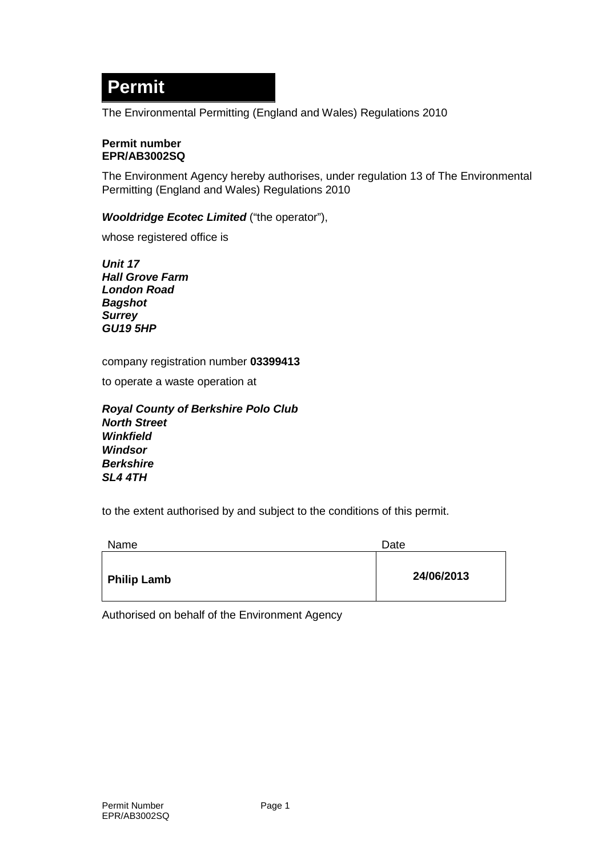### **Permit**

The Environmental Permitting (England and Wales) Regulations 2010

#### **Permit number EPR/AB3002SQ**

The Environment Agency hereby authorises, under regulation 13 of The Environmental Permitting (England and Wales) Regulations 2010

#### *Wooldridge Ecotec Limited* ("the operator"),

whose registered office is

*Unit 17 Hall Grove Farm London Road Bagshot Surrey GU19 5HP*

company registration number **03399413**

to operate a waste operation at

*Royal County of Berkshire Polo Club North Street Winkfield Windsor Berkshire SL4 4TH*

to the extent authorised by and subject to the conditions of this permit.

| Name               | Date       |
|--------------------|------------|
| <b>Philip Lamb</b> | 24/06/2013 |

Authorised on behalf of the Environment Agency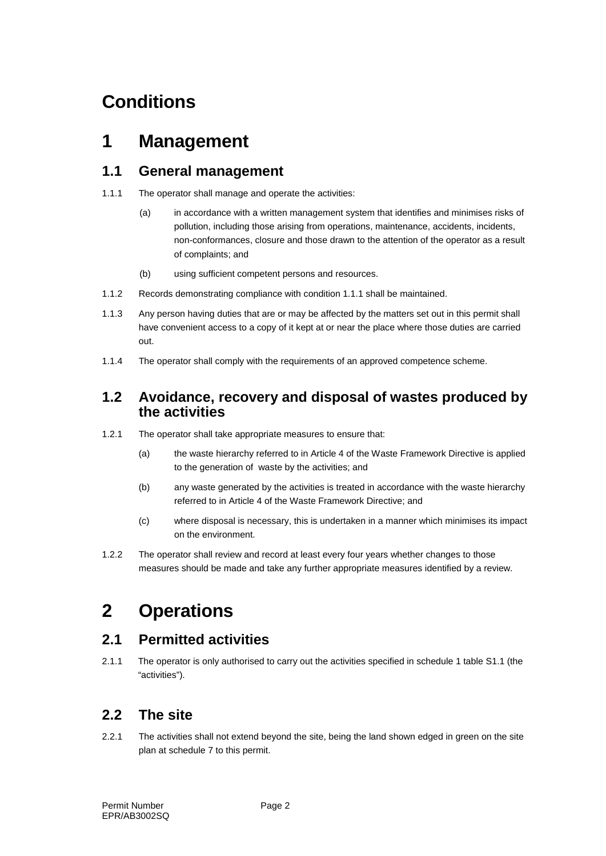## **Conditions**

### **1 Management**

#### **1.1 General management**

- 1.1.1 The operator shall manage and operate the activities:
	- (a) in accordance with a written management system that identifies and minimises risks of pollution, including those arising from operations, maintenance, accidents, incidents, non-conformances, closure and those drawn to the attention of the operator as a result of complaints; and
	- (b) using sufficient competent persons and resources.
- 1.1.2 Records demonstrating compliance with condition 1.1.1 shall be maintained.
- 1.1.3 Any person having duties that are or may be affected by the matters set out in this permit shall have convenient access to a copy of it kept at or near the place where those duties are carried out.
- 1.1.4 The operator shall comply with the requirements of an approved competence scheme.

#### **1.2 Avoidance, recovery and disposal of wastes produced by the activities**

- 1.2.1 The operator shall take appropriate measures to ensure that:
	- (a) the waste hierarchy referred to in Article 4 of the Waste Framework Directive is applied to the generation of waste by the activities; and
	- (b) any waste generated by the activities is treated in accordance with the waste hierarchy referred to in Article 4 of the Waste Framework Directive; and
	- (c) where disposal is necessary, this is undertaken in a manner which minimises its impact on the environment.
- 1.2.2 The operator shall review and record at least every four years whether changes to those measures should be made and take any further appropriate measures identified by a review.

## **2 Operations**

#### **2.1 Permitted activities**

2.1.1 The operator is only authorised to carry out the activities specified in schedule 1 table S1.1 (the "activities").

### **2.2 The site**

2.2.1 The activities shall not extend beyond the site, being the land shown edged in green on the site plan at schedule 7 to this permit.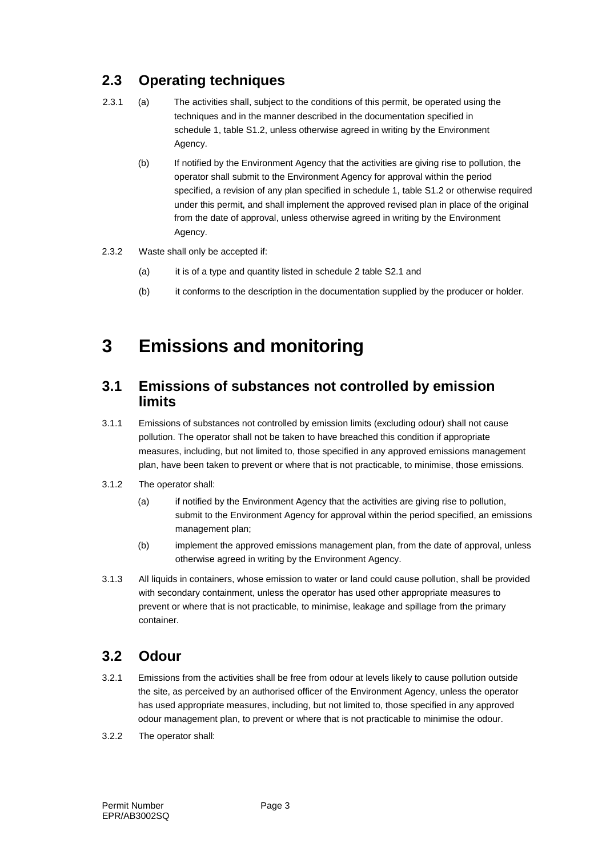### **2.3 Operating techniques**

- 2.3.1 (a) The activities shall, subject to the conditions of this permit, be operated using the techniques and in the manner described in the documentation specified in schedule 1, table S1.2, unless otherwise agreed in writing by the Environment Agency.
	- (b) If notified by the Environment Agency that the activities are giving rise to pollution, the operator shall submit to the Environment Agency for approval within the period specified, a revision of any plan specified in schedule 1, table S1.2 or otherwise required under this permit, and shall implement the approved revised plan in place of the original from the date of approval, unless otherwise agreed in writing by the Environment Agency.
- 2.3.2 Waste shall only be accepted if:
	- (a) it is of a type and quantity listed in schedule 2 table S2.1 and
	- (b) it conforms to the description in the documentation supplied by the producer or holder.

### **3 Emissions and monitoring**

#### **3.1 Emissions of substances not controlled by emission limits**

- 3.1.1 Emissions of substances not controlled by emission limits (excluding odour) shall not cause pollution. The operator shall not be taken to have breached this condition if appropriate measures, including, but not limited to, those specified in any approved emissions management plan, have been taken to prevent or where that is not practicable, to minimise, those emissions.
- 3.1.2 The operator shall:
	- (a) if notified by the Environment Agency that the activities are giving rise to pollution, submit to the Environment Agency for approval within the period specified, an emissions management plan;
	- (b) implement the approved emissions management plan, from the date of approval, unless otherwise agreed in writing by the Environment Agency.
- 3.1.3 All liquids in containers, whose emission to water or land could cause pollution, shall be provided with secondary containment, unless the operator has used other appropriate measures to prevent or where that is not practicable, to minimise, leakage and spillage from the primary container.

#### **3.2 Odour**

- 3.2.1 Emissions from the activities shall be free from odour at levels likely to cause pollution outside the site, as perceived by an authorised officer of the Environment Agency, unless the operator has used appropriate measures, including, but not limited to, those specified in any approved odour management plan, to prevent or where that is not practicable to minimise the odour.
- 3.2.2 The operator shall: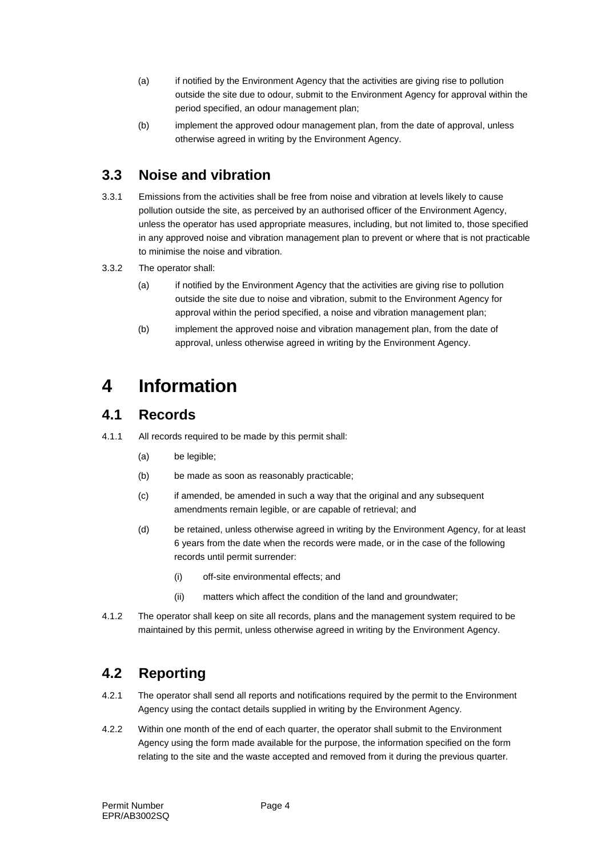- (a) if notified by the Environment Agency that the activities are giving rise to pollution outside the site due to odour, submit to the Environment Agency for approval within the period specified, an odour management plan;
- (b) implement the approved odour management plan, from the date of approval, unless otherwise agreed in writing by the Environment Agency.

#### **3.3 Noise and vibration**

- 3.3.1 Emissions from the activities shall be free from noise and vibration at levels likely to cause pollution outside the site, as perceived by an authorised officer of the Environment Agency, unless the operator has used appropriate measures, including, but not limited to, those specified in any approved noise and vibration management plan to prevent or where that is not practicable to minimise the noise and vibration.
- 3.3.2 The operator shall:
	- (a) if notified by the Environment Agency that the activities are giving rise to pollution outside the site due to noise and vibration, submit to the Environment Agency for approval within the period specified, a noise and vibration management plan;
	- (b) implement the approved noise and vibration management plan, from the date of approval, unless otherwise agreed in writing by the Environment Agency.

### **4 Information**

#### **4.1 Records**

- 4.1.1 All records required to be made by this permit shall:
	- (a) be legible;
	- (b) be made as soon as reasonably practicable;
	- (c) if amended, be amended in such a way that the original and any subsequent amendments remain legible, or are capable of retrieval; and
	- (d) be retained, unless otherwise agreed in writing by the Environment Agency, for at least 6 years from the date when the records were made, or in the case of the following records until permit surrender:
		- (i) off-site environmental effects; and
		- (ii) matters which affect the condition of the land and groundwater;
- 4.1.2 The operator shall keep on site all records, plans and the management system required to be maintained by this permit, unless otherwise agreed in writing by the Environment Agency.

### **4.2 Reporting**

- 4.2.1 The operator shall send all reports and notifications required by the permit to the Environment Agency using the contact details supplied in writing by the Environment Agency.
- 4.2.2 Within one month of the end of each quarter, the operator shall submit to the Environment Agency using the form made available for the purpose, the information specified on the form relating to the site and the waste accepted and removed from it during the previous quarter.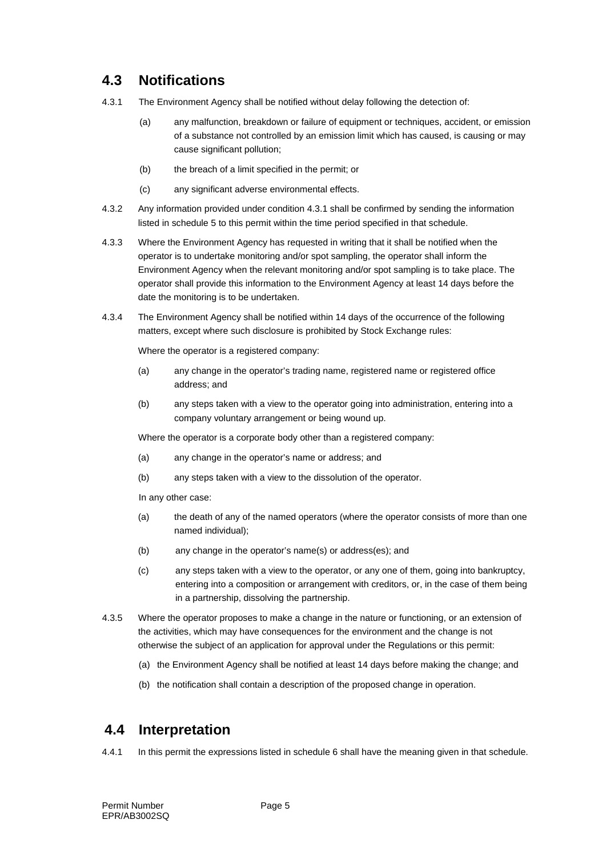### **4.3 Notifications**

- 4.3.1 The Environment Agency shall be notified without delay following the detection of:
	- (a) any malfunction, breakdown or failure of equipment or techniques, accident, or emission of a substance not controlled by an emission limit which has caused, is causing or may cause significant pollution;
	- (b) the breach of a limit specified in the permit; or
	- (c) any significant adverse environmental effects.
- 4.3.2 Any information provided under condition 4.3.1 shall be confirmed by sending the information listed in schedule 5 to this permit within the time period specified in that schedule.
- 4.3.3 Where the Environment Agency has requested in writing that it shall be notified when the operator is to undertake monitoring and/or spot sampling, the operator shall inform the Environment Agency when the relevant monitoring and/or spot sampling is to take place. The operator shall provide this information to the Environment Agency at least 14 days before the date the monitoring is to be undertaken.
- 4.3.4 The Environment Agency shall be notified within 14 days of the occurrence of the following matters, except where such disclosure is prohibited by Stock Exchange rules:

Where the operator is a registered company:

- (a) any change in the operator's trading name, registered name or registered office address; and
- (b) any steps taken with a view to the operator going into administration, entering into a company voluntary arrangement or being wound up.

Where the operator is a corporate body other than a registered company:

- (a) any change in the operator's name or address; and
- (b) any steps taken with a view to the dissolution of the operator.

In any other case:

- (a) the death of any of the named operators (where the operator consists of more than one named individual);
- (b) any change in the operator's name(s) or address(es); and
- (c) any steps taken with a view to the operator, or any one of them, going into bankruptcy, entering into a composition or arrangement with creditors, or, in the case of them being in a partnership, dissolving the partnership.
- 4.3.5 Where the operator proposes to make a change in the nature or functioning, or an extension of the activities, which may have consequences for the environment and the change is not otherwise the subject of an application for approval under the Regulations or this permit:
	- (a) the Environment Agency shall be notified at least 14 days before making the change; and
	- (b) the notification shall contain a description of the proposed change in operation.

### **4.4 Interpretation**

4.4.1 In this permit the expressions listed in schedule 6 shall have the meaning given in that schedule.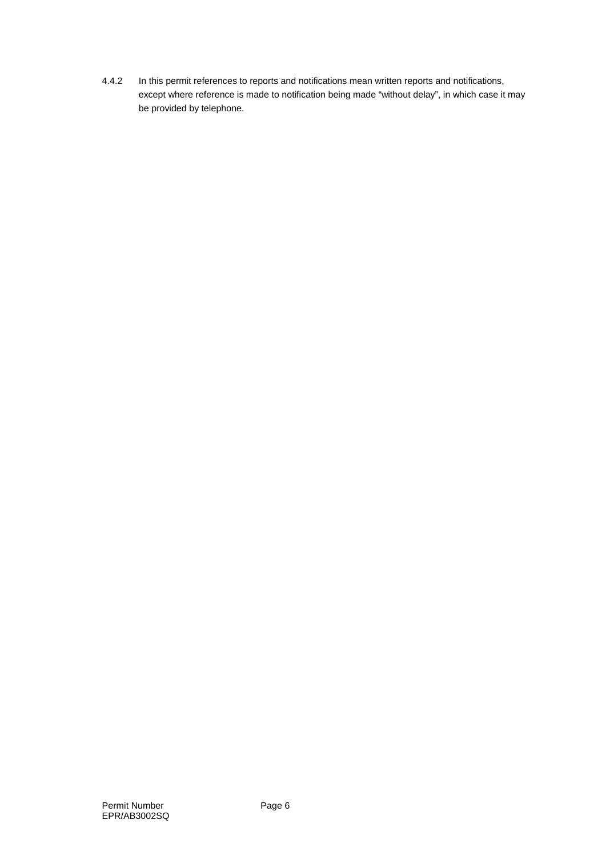4.4.2 In this permit references to reports and notifications mean written reports and notifications, except where reference is made to notification being made "without delay", in which case it may be provided by telephone.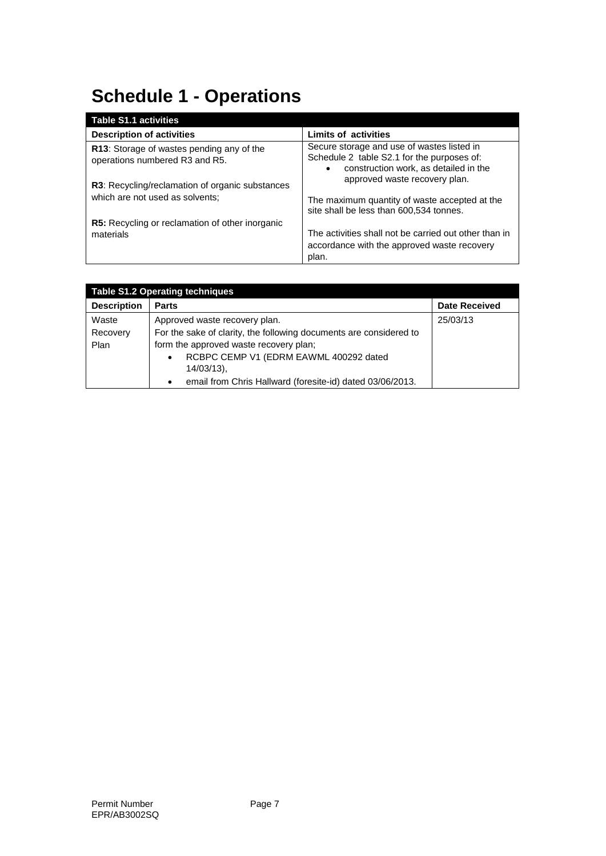# **Schedule 1 - Operations**

| <b>Table S1.1 activities</b>                                                |                                                                                                                                                |
|-----------------------------------------------------------------------------|------------------------------------------------------------------------------------------------------------------------------------------------|
| <b>Description of activities</b>                                            | <b>Limits of activities</b>                                                                                                                    |
| R13: Storage of wastes pending any of the<br>operations numbered R3 and R5. | Secure storage and use of wastes listed in<br>Schedule 2 table S2.1 for the purposes of:<br>construction work, as detailed in the<br>$\bullet$ |
| <b>R3:</b> Recycling/reclamation of organic substances                      | approved waste recovery plan.                                                                                                                  |
| which are not used as solvents;                                             | The maximum quantity of waste accepted at the<br>site shall be less than 600,534 tonnes.                                                       |
| <b>R5:</b> Recycling or reclamation of other inorganic                      |                                                                                                                                                |
| materials                                                                   | The activities shall not be carried out other than in<br>accordance with the approved waste recovery<br>plan.                                  |

| <b>Table S1.2 Operating techniques</b> |                                                                        |                      |
|----------------------------------------|------------------------------------------------------------------------|----------------------|
| <b>Description</b>                     | <b>Parts</b>                                                           | <b>Date Received</b> |
| Waste                                  | Approved waste recovery plan.                                          | 25/03/13             |
| Recovery                               | For the sake of clarity, the following documents are considered to     |                      |
| Plan                                   | form the approved waste recovery plan;                                 |                      |
|                                        | RCBPC CEMP V1 (EDRM EAWML 400292 dated<br>$\bullet$                    |                      |
|                                        | $14/03/13$ ),                                                          |                      |
|                                        | email from Chris Hallward (foresite-id) dated 03/06/2013.<br>$\bullet$ |                      |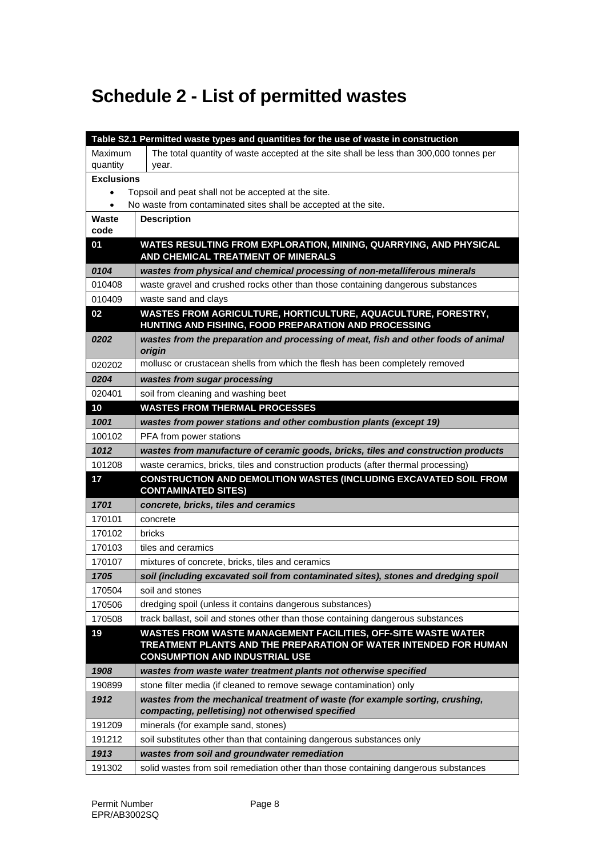## **Schedule 2 - List of permitted wastes**

|                   | Table S2.1 Permitted waste types and quantities for the use of waste in construction                                                                                       |
|-------------------|----------------------------------------------------------------------------------------------------------------------------------------------------------------------------|
| Maximum           | The total quantity of waste accepted at the site shall be less than 300,000 tonnes per                                                                                     |
| quantity<br>year. |                                                                                                                                                                            |
| <b>Exclusions</b> |                                                                                                                                                                            |
|                   | Topsoil and peat shall not be accepted at the site.                                                                                                                        |
| $\bullet$         | No waste from contaminated sites shall be accepted at the site.                                                                                                            |
| Waste<br>code     | <b>Description</b>                                                                                                                                                         |
| 01                | WATES RESULTING FROM EXPLORATION, MINING, QUARRYING, AND PHYSICAL<br>AND CHEMICAL TREATMENT OF MINERALS                                                                    |
| 0104              | wastes from physical and chemical processing of non-metalliferous minerals                                                                                                 |
| 010408            | waste gravel and crushed rocks other than those containing dangerous substances                                                                                            |
| 010409            | waste sand and clays                                                                                                                                                       |
| 02                | WASTES FROM AGRICULTURE, HORTICULTURE, AQUACULTURE, FORESTRY,<br>HUNTING AND FISHING, FOOD PREPARATION AND PROCESSING                                                      |
| 0202              | wastes from the preparation and processing of meat, fish and other foods of animal<br>origin                                                                               |
| 020202            | mollusc or crustacean shells from which the flesh has been completely removed                                                                                              |
| 0204              | wastes from sugar processing                                                                                                                                               |
| 020401            | soil from cleaning and washing beet                                                                                                                                        |
| 10                | <b>WASTES FROM THERMAL PROCESSES</b>                                                                                                                                       |
| 1001              | wastes from power stations and other combustion plants (except 19)                                                                                                         |
| 100102            | PFA from power stations                                                                                                                                                    |
| 1012              | wastes from manufacture of ceramic goods, bricks, tiles and construction products                                                                                          |
| 101208            | waste ceramics, bricks, tiles and construction products (after thermal processing)                                                                                         |
| 17                | CONSTRUCTION AND DEMOLITION WASTES (INCLUDING EXCAVATED SOIL FROM<br><b>CONTAMINATED SITES)</b>                                                                            |
| 1701              | concrete, bricks, tiles and ceramics                                                                                                                                       |
| 170101            | concrete                                                                                                                                                                   |
| 170102            | bricks                                                                                                                                                                     |
| 170103            | tiles and ceramics                                                                                                                                                         |
| 170107            | mixtures of concrete, bricks, tiles and ceramics                                                                                                                           |
| 1705              | soil (including excavated soil from contaminated sites), stones and dredging spoil                                                                                         |
| 170504            | soil and stones                                                                                                                                                            |
| 170506            | dredging spoil (unless it contains dangerous substances)                                                                                                                   |
| 170508            | track ballast, soil and stones other than those containing dangerous substances                                                                                            |
| 19                | WASTES FROM WASTE MANAGEMENT FACILITIES, OFF-SITE WASTE WATER<br>TREATMENT PLANTS AND THE PREPARATION OF WATER INTENDED FOR HUMAN<br><b>CONSUMPTION AND INDUSTRIAL USE</b> |
| 1908              | wastes from waste water treatment plants not otherwise specified                                                                                                           |
| 190899            | stone filter media (if cleaned to remove sewage contamination) only                                                                                                        |
| 1912              | wastes from the mechanical treatment of waste (for example sorting, crushing,<br>compacting, pelletising) not otherwised specified                                         |
| 191209            | minerals (for example sand, stones)                                                                                                                                        |
| 191212            | soil substitutes other than that containing dangerous substances only                                                                                                      |
| 1913              | wastes from soil and groundwater remediation                                                                                                                               |
| 191302            | solid wastes from soil remediation other than those containing dangerous substances                                                                                        |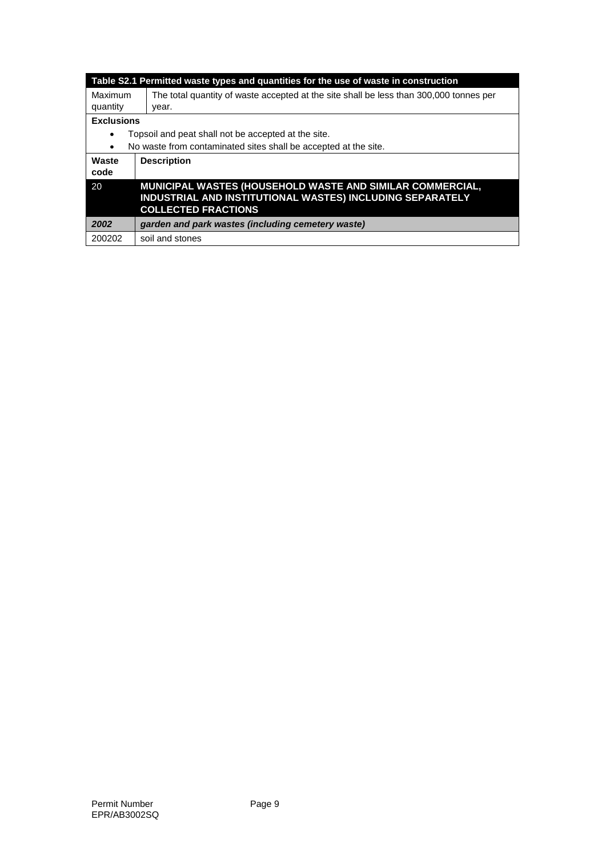|                   | Table S2.1 Permitted waste types and quantities for the use of waste in construction                                                                 |
|-------------------|------------------------------------------------------------------------------------------------------------------------------------------------------|
| Maximum           | The total quantity of waste accepted at the site shall be less than 300,000 tonnes per                                                               |
| quantity          | year.                                                                                                                                                |
| <b>Exclusions</b> |                                                                                                                                                      |
| $\bullet$         | Topsoil and peat shall not be accepted at the site.                                                                                                  |
| $\bullet$         | No waste from contaminated sites shall be accepted at the site.                                                                                      |
| Waste<br>code     | <b>Description</b>                                                                                                                                   |
| 20                | MUNICIPAL WASTES (HOUSEHOLD WASTE AND SIMILAR COMMERCIAL,<br>INDUSTRIAL AND INSTITUTIONAL WASTES) INCLUDING SEPARATELY<br><b>COLLECTED FRACTIONS</b> |
| 2002              | garden and park wastes (including cemetery waste)                                                                                                    |
| 200202            | soil and stones                                                                                                                                      |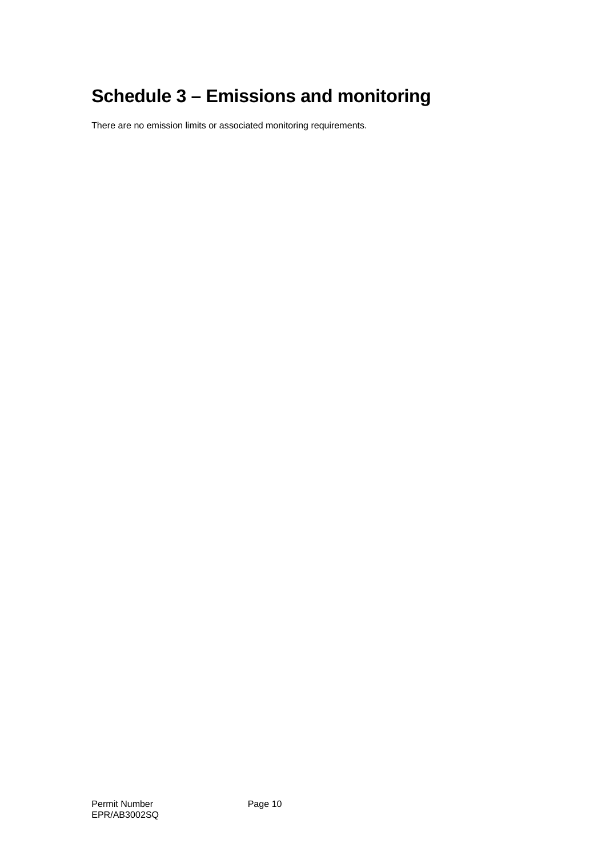## **Schedule 3 – Emissions and monitoring**

There are no emission limits or associated monitoring requirements.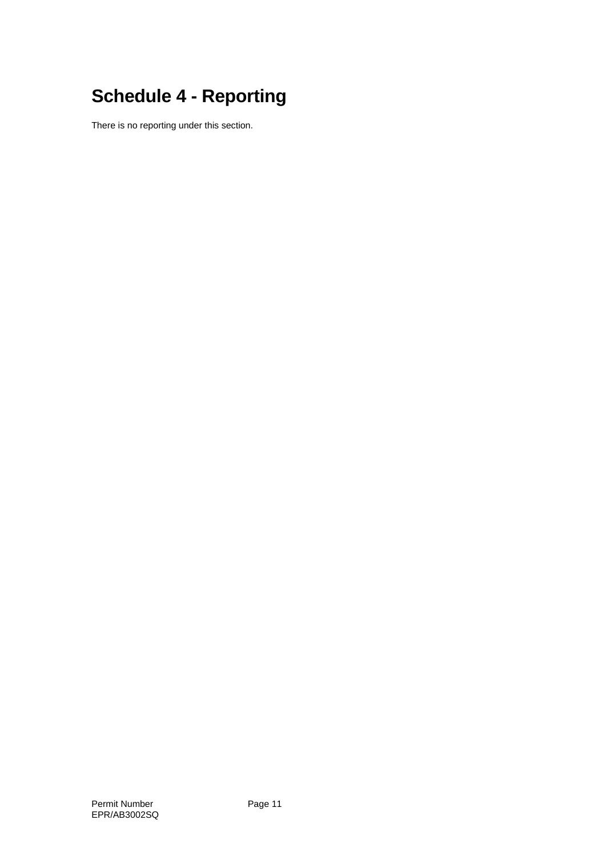# **Schedule 4 - Reporting**

There is no reporting under this section.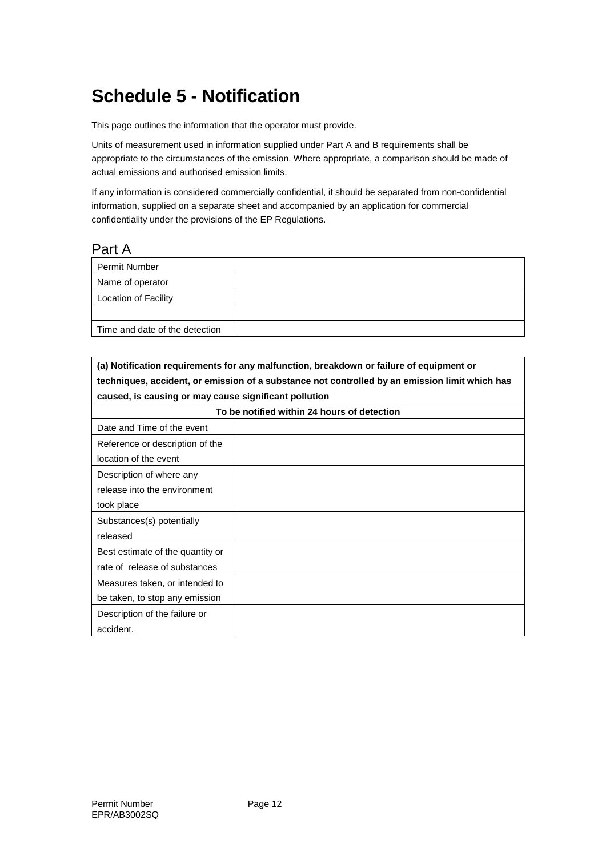## **Schedule 5 - Notification**

This page outlines the information that the operator must provide.

Units of measurement used in information supplied under Part A and B requirements shall be appropriate to the circumstances of the emission. Where appropriate, a comparison should be made of actual emissions and authorised emission limits.

If any information is considered commercially confidential, it should be separated from non-confidential information, supplied on a separate sheet and accompanied by an application for commercial confidentiality under the provisions of the EP Regulations.

#### Part A

| <b>Permit Number</b>           |  |
|--------------------------------|--|
| Name of operator               |  |
| <b>Location of Facility</b>    |  |
|                                |  |
| Time and date of the detection |  |

| (a) Notification requirements for any malfunction, breakdown or failure of equipment or        |
|------------------------------------------------------------------------------------------------|
| techniques, accident, or emission of a substance not controlled by an emission limit which has |
| caused, is causing or may cause significant pollution                                          |
|                                                                                                |

| To be notified within 24 hours of detection |  |
|---------------------------------------------|--|
| Date and Time of the event                  |  |
| Reference or description of the             |  |
| location of the event                       |  |
| Description of where any                    |  |
| release into the environment                |  |
| took place                                  |  |
| Substances(s) potentially                   |  |
| released                                    |  |
| Best estimate of the quantity or            |  |
| rate of release of substances               |  |
| Measures taken, or intended to              |  |
| be taken, to stop any emission              |  |
| Description of the failure or               |  |
| accident.                                   |  |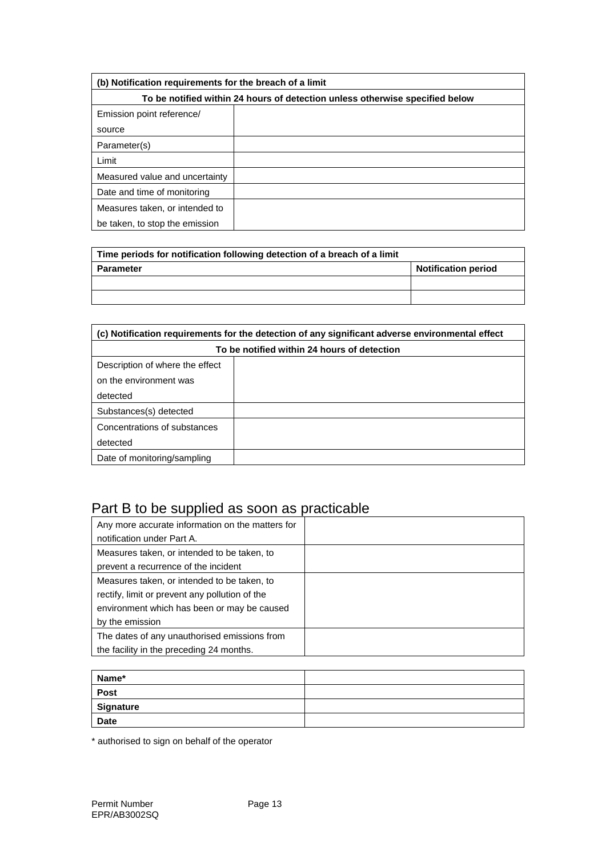| (b) Notification requirements for the breach of a limit                      |  |  |
|------------------------------------------------------------------------------|--|--|
| To be notified within 24 hours of detection unless otherwise specified below |  |  |
| Emission point reference/                                                    |  |  |
| source                                                                       |  |  |
| Parameter(s)                                                                 |  |  |
| Limit                                                                        |  |  |
| Measured value and uncertainty                                               |  |  |
| Date and time of monitoring                                                  |  |  |
| Measures taken, or intended to                                               |  |  |
| be taken, to stop the emission                                               |  |  |

| Time periods for notification following detection of a breach of a limit |                            |
|--------------------------------------------------------------------------|----------------------------|
| <b>Parameter</b>                                                         | <b>Notification period</b> |
|                                                                          |                            |
|                                                                          |                            |

| (c) Notification requirements for the detection of any significant adverse environmental effect |  |  |
|-------------------------------------------------------------------------------------------------|--|--|
| To be notified within 24 hours of detection                                                     |  |  |
| Description of where the effect                                                                 |  |  |
| on the environment was                                                                          |  |  |
| detected                                                                                        |  |  |
| Substances(s) detected                                                                          |  |  |
| Concentrations of substances                                                                    |  |  |
| detected                                                                                        |  |  |
| Date of monitoring/sampling                                                                     |  |  |

### Part B to be supplied as soon as practicable

| Any more accurate information on the matters for |  |
|--------------------------------------------------|--|
| notification under Part A.                       |  |
| Measures taken, or intended to be taken, to      |  |
| prevent a recurrence of the incident             |  |
| Measures taken, or intended to be taken, to      |  |
| rectify, limit or prevent any pollution of the   |  |
| environment which has been or may be caused      |  |
| by the emission                                  |  |
| The dates of any unauthorised emissions from     |  |
| the facility in the preceding 24 months.         |  |

| Name*                                                                                                                                                                                                                                              |  |
|----------------------------------------------------------------------------------------------------------------------------------------------------------------------------------------------------------------------------------------------------|--|
| Post                                                                                                                                                                                                                                               |  |
| Signature                                                                                                                                                                                                                                          |  |
| <u>experience</u> and the second second the second second second second second second second second second second second second second second second second second second second second second second second second second second s<br><b>Date</b> |  |

\* authorised to sign on behalf of the operator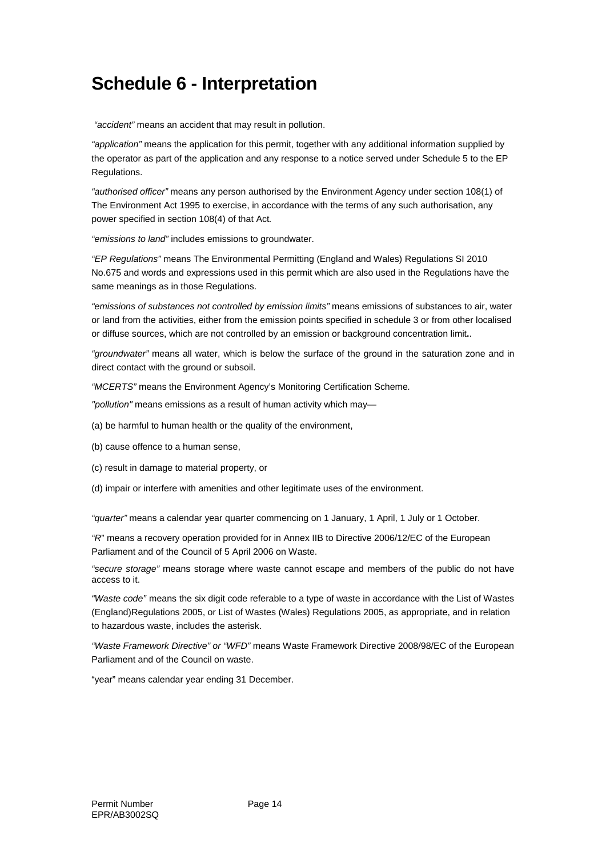## **Schedule 6 - Interpretation**

*"accident"* means an accident that may result in pollution.

*"application"* means the application for this permit, together with any additional information supplied by the operator as part of the application and any response to a notice served under Schedule 5 to the EP Regulations.

*"authorised officer"* means any person authorised by the Environment Agency under section 108(1) of The Environment Act 1995 to exercise, in accordance with the terms of any such authorisation, any power specified in section 108(4) of that Act*.*

*"emissions to land"* includes emissions to groundwater.

*"EP Regulations"* means The Environmental Permitting (England and Wales) Regulations SI 2010 No.675 and words and expressions used in this permit which are also used in the Regulations have the same meanings as in those Regulations.

*"emissions of substances not controlled by emission limits"* means emissions of substances to air, water or land from the activities, either from the emission points specified in schedule 3 or from other localised or diffuse sources, which are not controlled by an emission or background concentration limit**.**.

*"groundwater"* means all water, which is below the surface of the ground in the saturation zone and in direct contact with the ground or subsoil.

*"MCERTS"* means the Environment Agency's Monitoring Certification Scheme*.*

*"pollution"* means emissions as a result of human activity which may—

- (a) be harmful to human health or the quality of the environment,
- (b) cause offence to a human sense,
- (c) result in damage to material property, or
- (d) impair or interfere with amenities and other legitimate uses of the environment.

*"quarter"* means a calendar year quarter commencing on 1 January, 1 April, 1 July or 1 October.

*"R*" means a recovery operation provided for in Annex IIB to Directive 2006/12/EC of the European Parliament and of the Council of 5 April 2006 on Waste.

*"secure storage"* means storage where waste cannot escape and members of the public do not have access to it.

*"Waste code"* means the six digit code referable to a type of waste in accordance with the List of Wastes (England)Regulations 2005, or List of Wastes (Wales) Regulations 2005, as appropriate, and in relation to hazardous waste, includes the asterisk.

*"Waste Framework Directive" or "WFD"* means Waste Framework Directive 2008/98/EC of the European Parliament and of the Council on waste.

"year" means calendar year ending 31 December.